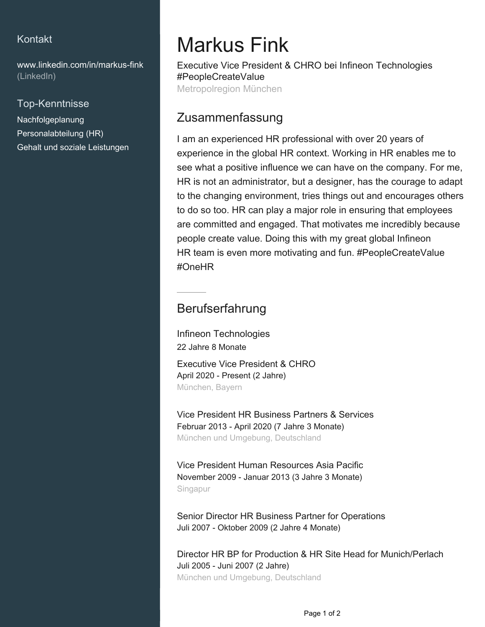#### Kontakt

[www.linkedin.com/in/markus-fink](https://www.linkedin.com/in/markus-fink?jobid=1234&lipi=urn%3Ali%3Apage%3Ad_jobs_easyapply_pdfgenresume%3B4S0GHTZASqO5eGhB5aN7vw%3D%3D&licu=urn%3Ali%3Acontrol%3Ad_jobs_easyapply_pdfgenresume-v02_profile) [\(LinkedIn\)](https://www.linkedin.com/in/markus-fink?jobid=1234&lipi=urn%3Ali%3Apage%3Ad_jobs_easyapply_pdfgenresume%3B4S0GHTZASqO5eGhB5aN7vw%3D%3D&licu=urn%3Ali%3Acontrol%3Ad_jobs_easyapply_pdfgenresume-v02_profile)

#### Top-Kenntnisse

Nachfolgeplanung Personalabteilung (HR) Gehalt und soziale Leistungen

# Markus Fink

Executive Vice President & CHRO bei Infineon Technologies #PeopleCreateValue Metropolregion München

## Zusammenfassung

I am an experienced HR professional with over 20 years of experience in the global HR context. Working in HR enables me to see what a positive influence we can have on the company. For me, HR is not an administrator, but a designer, has the courage to adapt to the changing environment, tries things out and encourages others to do so too. HR can play a major role in ensuring that employees are committed and engaged. That motivates me incredibly because people create value. Doing this with my great global Infineon HR team is even more motivating and fun. #PeopleCreateValue #OneHR

### Berufserfahrung

Infineon Technologies 22 Jahre 8 Monate Executive Vice President & CHRO April 2020 - Present (2 Jahre) München, Bayern

Vice President HR Business Partners & Services Februar 2013 - April 2020 (7 Jahre 3 Monate) München und Umgebung, Deutschland

Vice President Human Resources Asia Pacific November 2009 - Januar 2013 (3 Jahre 3 Monate) Singapur

Senior Director HR Business Partner for Operations Juli 2007 - Oktober 2009 (2 Jahre 4 Monate)

Director HR BP for Production & HR Site Head for Munich/Perlach Juli 2005 - Juni 2007 (2 Jahre) München und Umgebung, Deutschland